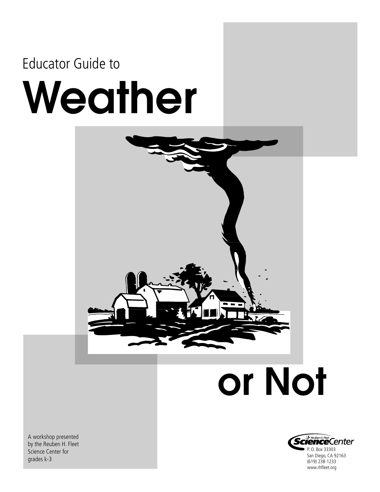### Educator Guide to

# Weather



## or Not



A workshop presented by the Reuben H. Fleet Science Center for grades k-3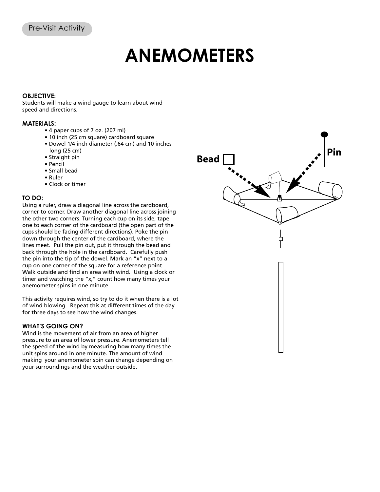### **ANEMOMETERS**

#### **OBJECTIVE:**

Students will make a wind gauge to learn about wind speed and directions.

#### **MATERIALS:**

- 4 paper cups of 7 oz. (207 ml)
- 10 inch (25 cm square) cardboard square
- Dowel 1/4 inch diameter (.64 cm) and 10 inches long (25 cm)
- Straight pin
- Pencil
- Small bead
- Ruler
- Clock or timer

#### **TO DO:**

Using a ruler, draw a diagonal line across the cardboard, corner to corner. Draw another diagonal line across joining the other two corners. Turning each cup on its side, tape one to each corner of the cardboard (the open part of the cups should be facing different directions). Poke the pin down through the center of the cardboard, where the lines meet. Pull the pin out, put it through the bead and back through the hole in the cardboard. Carefully push the pin into the tip of the dowel. Mark an "x" next to a cup on one corner of the square for a reference point. Walk outside and find an area with wind. Using a clock or timer and watching the "x," count how many times your anemometer spins in one minute.

This activity requires wind, so try to do it when there is a lot of wind blowing. Repeat this at different times of the day for three days to see how the wind changes.

#### **WHAT'S GOING ON?**

Wind is the movement of air from an area of higher pressure to an area of lower pressure. Anemometers tell the speed of the wind by measuring how many times the unit spins around in one minute. The amount of wind making your anemometer spin can change depending on your surroundings and the weather outside.

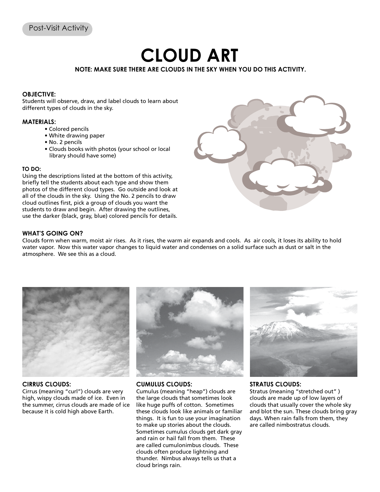## **CLOUD ART**

**NOTE: MAKE SURE THERE ARE CLOUDS IN THE SKY WHEN YOU DO THIS ACTIVITY.**

#### **OBJECTIVE:**

Students will observe, draw, and label clouds to learn about different types of clouds in the sky.

#### **MATERIALS:**

- Colored pencils
- White drawing paper
- No. 2 pencils
- Clouds books with photos (your school or local library should have some)

#### **TO DO:**

Using the descriptions listed at the bottom of this activity, briefly tell the students about each type and show them photos of the different cloud types. Go outside and look at all of the clouds in the sky. Using the No. 2 pencils to draw cloud outlines first, pick a group of clouds you want the students to draw and begin. After drawing the outlines, use the darker (black, gray, blue) colored pencils for details.



#### **WHAT'S GOING ON?**

Clouds form when warm, moist air rises. As it rises, the warm air expands and cools. As air cools, it loses its ability to hold water vapor. Now this water vapor changes to liquid water and condenses on a solid surface such as dust or salt in the atmosphere. We see this as a cloud.



#### **CIRRUS CLOUDS:**

Cirrus (meaning "curl") clouds are very high, wispy clouds made of ice. Even in the summer, cirrus clouds are made of ice because it is cold high above Earth.



#### **CUMULUS CLOUDS:**

Cumulus (meaning "heap") clouds are the large clouds that sometimes look like huge puffs of cotton. Sometimes these clouds look like animals or familiar things. It is fun to use your imagination to make up stories about the clouds. Sometimes cumulus clouds get dark gray and rain or hail fall from them. These are called cumulonimbus clouds. These clouds often produce lightning and thunder. Nimbus always tells us that a cloud brings rain.



#### **STRATUS CLOUDS:**

Stratus (meaning "stretched out" ) clouds are made up of low layers of clouds that usually cover the whole sky and blot the sun. These clouds bring gray days. When rain falls from them, they are called nimbostratus clouds.